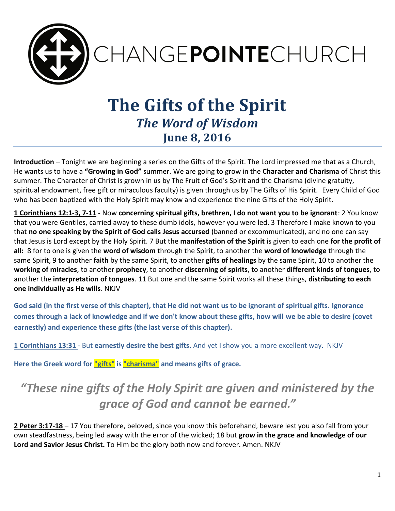

# **The Gifts of the Spirit** *The Word of Wisdom*  **June 8, 2016**

**Introduction** – Tonight we are beginning a series on the Gifts of the Spirit. The Lord impressed me that as a Church, He wants us to have a **"Growing in God"** summer. We are going to grow in the **Character and Charisma** of Christ this summer. The Character of Christ is grown in us by The Fruit of God's Spirit and the Charisma (divine gratuity, spiritual endowment, free gift or miraculous faculty) is given through us by The Gifts of His Spirit. Every Child of God who has been baptized with the Holy Spirit may know and experience the nine Gifts of the Holy Spirit.

**1 Corinthians 12:1-3, 7-11** - Now **concerning spiritual gifts, brethren, I do not want you to be ignorant**: 2 You know that you were Gentiles, carried away to these dumb idols, however you were led. 3 Therefore I make known to you that **no one speaking by the Spirit of God calls Jesus accursed** (banned or excommunicated), and no one can say that Jesus is Lord except by the Holy Spirit. 7 But the **manifestation of the Spirit** is given to each one **for the profit of all:** 8 for to one is given the **word of wisdom** through the Spirit, to another the **word of knowledge** through the same Spirit, 9 to another **faith** by the same Spirit, to another **gifts of healings** by the same Spirit, 10 to another the **working of miracles**, to another **prophecy**, to another **discerning of spirits**, to another **different kinds of tongues**, to another the **interpretation of tongues**. 11 But one and the same Spirit works all these things, **distributing to each one individually as He wills**. NKJV

**God said (in the first verse of this chapter), that He did not want us to be ignorant of spiritual gifts. Ignorance comes through a lack of knowledge and if we don't know about these gifts, how will we be able to desire (covet earnestly) and experience these gifts (the last verse of this chapter).**

**1 Corinthians 13:31** - But **earnestly desire the best gifts**. And yet I show you a more excellent way. NKJV

**Here the Greek word for "gifts" is "charisma" and means gifts of grace.** 

## *"These nine gifts of the Holy Spirit are given and ministered by the grace of God and cannot be earned."*

**2 Peter 3:17-18** – 17 You therefore, beloved, since you know this beforehand, beware lest you also fall from your own steadfastness, being led away with the error of the wicked; 18 but **grow in the grace and knowledge of our Lord and Savior Jesus Christ.** To Him be the glory both now and forever. Amen. NKJV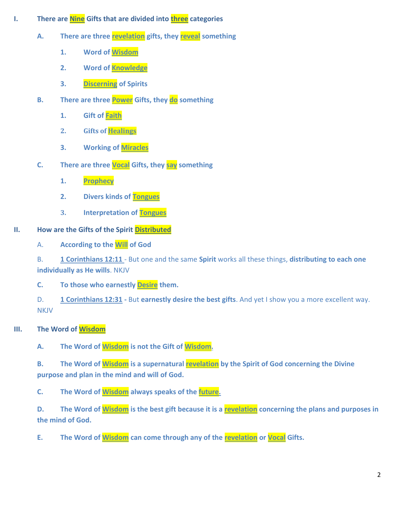- **I. There are Nine Gifts that are divided into three categories** 
	- **A. There are three revelation gifts, they reveal something**
		- **1. Word of Wisdom**
		- **2. Word of Knowledge**
		- **3. Discerning of Spirits**
	- **B. There are three Power Gifts, they do something** 
		- **1. Gift of Faith**
		- **2. Gifts of Healings**
		- **3. Working of Miracles**
	- **C. There are three Vocal Gifts, they say something**
		- **1. Prophecy**
		- **2. Divers kinds of Tongues**
		- **3. Interpretation of Tongues**

### **II. How are the Gifts of the Spirit Distributed**

A. **According to the Will of God**

B. **1 Corinthians 12:11** - But one and the same **Spirit** works all these things, **distributing to each one individually as He wills**. NKJV

**C. To those who earnestly Desire them.**

- D. **1 Corinthians 12:31 -** But **earnestly desire the best gifts**. And yet I show you a more excellent way. **NKJV**
- **III. The Word of Wisdom**

**A. The Word of Wisdom is not the Gift of Wisdom.** 

**B. The Word of Wisdom is a supernatural revelation by the Spirit of God concerning the Divine purpose and plan in the mind and will of God.** 

**C. The Word of Wisdom always speaks of the future.** 

**D.** The Word of **Wisdom** is the best gift because it is a **revelation** concerning the plans and purposes in **the mind of God.** 

**E. The Word of Wisdom can come through any of the revelation or Vocal Gifts.**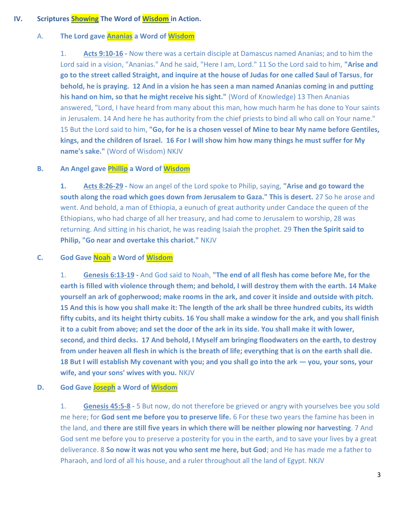#### **IV. Scriptures Showing The Word of Wisdom in Action.**

#### A. **The Lord gave Ananias a Word of Wisdom**

1. **Acts 9:10-16 -** Now there was a certain disciple at Damascus named Ananias; and to him the Lord said in a vision, "Ananias." And he said, "Here I am, Lord." 11 So the Lord said to him, **"Arise and go to the street called Straight, and inquire at the house of Judas for one called Saul of Tarsus**, **for behold, he is praying. 12 And in a vision he has seen a man named Ananias coming in and putting his hand on him, so that he might receive his sight."** (Word of Knowledge) 13 Then Ananias answered, "Lord, I have heard from many about this man, how much harm he has done to Your saints in Jerusalem. 14 And here he has authority from the chief priests to bind all who call on Your name." 15 But the Lord said to him, **"Go, for he is a chosen vessel of Mine to bear My name before Gentiles, kings, and the children of Israel. 16 For I will show him how many things he must suffer for My name's sake."** (Word of Wisdom) NKJV

#### **B. An Angel gave Phillip a Word of Wisdom**

**1. Acts 8:26-29 -** Now an angel of the Lord spoke to Philip, saying, **"Arise and go toward the south along the road which goes down from Jerusalem to Gaza." This is desert.** 27 So he arose and went. And behold, a man of Ethiopia, a eunuch of great authority under Candace the queen of the Ethiopians, who had charge of all her treasury, and had come to Jerusalem to worship, 28 was returning. And sitting in his chariot, he was reading Isaiah the prophet. 29 **Then the Spirit said to Philip, "Go near and overtake this chariot."** NKJV

#### **C. God Gave Noah a Word of Wisdom**

1. **Genesis 6:13-19 -** And God said to Noah, **"The end of all flesh has come before Me, for the earth is filled with violence through them; and behold, I will destroy them with the earth. 14 Make yourself an ark of gopherwood; make rooms in the ark, and cover it inside and outside with pitch. 15 And this is how you shall make it: The length of the ark shall be three hundred cubits, its width fifty cubits, and its height thirty cubits. 16 You shall make a window for the ark, and you shall finish it to a cubit from above; and set the door of the ark in its side. You shall make it with lower, second, and third decks. 17 And behold, I Myself am bringing floodwaters on the earth, to destroy from under heaven all flesh in which is the breath of life; everything that is on the earth shall die. 18 But I will establish My covenant with you; and you shall go into the ark — you, your sons, your wife, and your sons' wives with you.** NKJV

#### **D. God Gave Joseph a Word of Wisdom**

1. **Genesis 45:5-8 -** 5 But now, do not therefore be grieved or angry with yourselves bee you sold me here; for **God sent me before you to preserve life.** 6 For these two years the famine has been in the land, and **there are still five years in which there will be neither plowing nor harvesting**. 7 And God sent me before you to preserve a posterity for you in the earth, and to save your lives by a great deliverance. 8 **So now it was not you who sent me here, but God**; and He has made me a father to Pharaoh, and lord of all his house, and a ruler throughout all the land of Egypt. NKJV